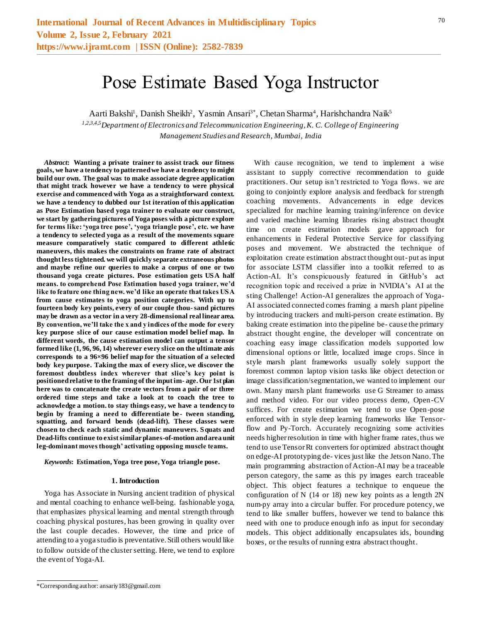# Pose Estimate Based Yoga Instructor

Aarti Bakshi<sup>1</sup>, Danish Sheikh<sup>2</sup>, Yasmin Ansari<sup>3\*</sup>, Chetan Sharma<sup>4</sup>, Harishchandra Naik<sup>5</sup>

*1,2,3,4,5Department of Electronics and Telecommunication Engineering, K. C. College of Engineering Management Studies and Research, Mumbai, India*

*Abstract***: Wanting a private trainer to assist track our fitness goals, we have a tendency to patterned we have a tendency to might build our own. The goal was to make associate degree application that might track however we have a tendency to were physical exercise and commenced with Yoga as a straightforward context. we have a tendency to dubbed our 1st iteration of this application as Pose Estimation based yoga trainer to evaluate our construct, we start by gathering pictures of Yoga poses with a picture explore for terms like: 'yoga tree pose', 'yoga triangle pose', etc. we have a tendency to selected yoga as a result of the movements square measure comparatively static compared to different athletic maneuvers, this makes the constraints on frame rate of abstract thought less tightened. we will quickly separate extraneous photos and maybe refine our queries to make a corpus of one or two thousand yoga create pictures. Pose estimation gets USA half means. to comprehend Pose Estimation based yoga trainer, we'd like to feature one thing new. we'd like an operate that takes USA from cause estimates to yoga position categories. With up to fourteen body key points, every of our couple thou-sand pictures may be drawn as a vector in a very 28-dimensional real linear area. By convention, we'll take the x and y indices of the mode for every key purpose slice of our cause estimation model belief map. In different words, the cause estimation model can output a tensor formed like (1, 96, 96, 14) wherever every slice on the ultimate axis corresponds to a 96×96 belief map for the situation of a selected body key purpose. Taking the max of every slice, we discover the foremost doubtless index wherever that slice's key point is positioned relative to the framing of the input im- age. Our 1st plan here was to concatenate the create vectors from a pair of or three ordered time steps and take a look at to coach the tree to acknowledge a motion. to stay things easy, we have a tendency to begin by framing a need to differentiate be- tween standing, squatting, and forward bends (dead-lift). These classes were chosen to check each static and dynamic maneuvers. Squats and Dead-lifts continue to exist similar planes-of-motion and area unit leg-dominant moves though' activating opposing muscle teams.**

*Keywords***: Estimation, Yoga tree pose, Yoga triangle pose.**

#### **1. Introduction**

Yoga has Associate in Nursing ancient tradition of physical and mental coaching to enhance well-being. fashionable yoga, that emphasizes physical learning and mental strength through coaching physical postures, has been growing in quality over the last couple decades. However, the time and price of attending to a yoga studio is preventative. Still others would like to follow outside of the cluster setting. Here, we tend to explore the event of Yoga-AI.

With cause recognition, we tend to implement a wise assistant to supply corrective recommendation to guide practitioners. Our setup isn't restricted to Yoga flows. we are going to conjointly explore analysis and feedback for strength coaching movements. Advancements in edge devices specialized for machine learning training/inference on device and varied machine learning libraries rising abstract thought time on create estimation models gave approach for enhancements in Federal Protective Service for classifying poses and movement. We abstracted the technique of exploitation create estimation abstract thought out- put as input for associate LSTM classifier into a toolkit referred to as Action-AI. It's conspicuously featured in GitHub's act recognition topic and received a prize in NVIDIA's AI at the sting Challenge! Action-AI generalizes the approach of Yoga-AI associated connected comes framing a marsh plant pipeline by introducing trackers and multi-person create estimation. By baking create estimation into the pipeline be- cause the primary abstract thought engine, the developer will concentrate on coaching easy image classification models supported low dimensional options or little, localized image crops. Since in style marsh plant frameworks usually solely support the foremost common laptop vision tasks like object detection or image classification/segmentation, we wanted to implement our own. Many marsh plant frameworks use G Streamer to amass and method video. For our video process demo, Open-CV suffices. For create estimation we tend to use Open-pose enforced with in style deep learning frameworks like Tensorflow and Py-Torch. Accurately recognizing some activities needs higher resolution in time with higher frame rates, thus we tend to use Tensor Rt converters for optimized abstract thought on edge-AI prototyping de- vices just like the Jetson Nano. The main programming abstraction of Action-AI may be a traceable person category, the same as this py images earch traceable object. This object features a technique to enqueue the configuration of N (14 or 18) new key points as a length 2N num-py array into a circular buffer. For procedure potency, we tend to like smaller buffers, however we tend to balance this need with one to produce enough info as input for secondary models. This object additionally encapsulates ids, bounding boxes, or the results of running extra abstract thought.

<sup>\*</sup>Corresponding author: ansariy183@gmail.com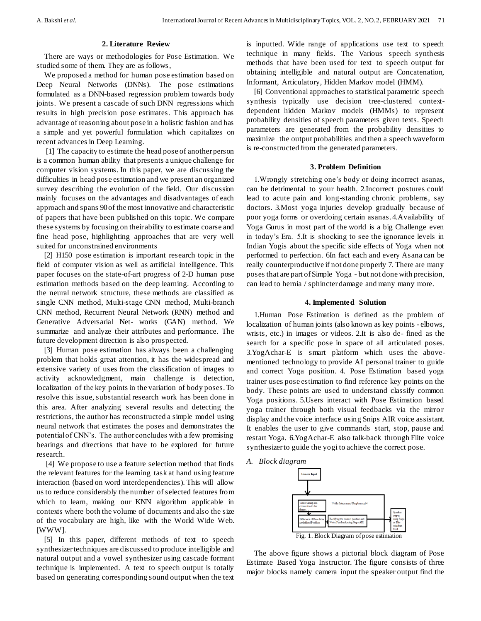# **2. Literature Review**

There are ways or methodologies for Pose Estimation. We studied some of them. They are as follows,

We proposed a method for human pose estimation based on Deep Neural Networks (DNNs). The pose estimations formulated as a DNN-based regression problem towards body joints. We present a cascade of such DNN regressions which results in high precision pose estimates. This approach has advantage of reasoning about pose in a holistic fashion and has a simple and yet powerful formulation which capitalizes on recent advances in Deep Learning.

[1] The capacity to estimate the head pose of another person is a common human ability that presents a unique challenge for computer vision systems. In this paper, we are discussing the difficulties in head pose estimation and we present an organized survey describing the evolution of the field. Our discussion mainly focuses on the advantages and disadvantages of each approach and spans 90 of the most innovative and characteristic of papers that have been published on this topic. We compare these systems by focusing on their ability to estimate coarse and fine head pose, highlighting approaches that are very well suited for unconstrained environments

[2] H150 pose estimation is important research topic in the field of computer vision as well as artificial intelligence. This paper focuses on the state-of-art progress of 2-D human pose estimation methods based on the deep learning. According to the neural network structure, these methods are classified as single CNN method, Multi-stage CNN method, Multi-branch CNN method, Recurrent Neural Network (RNN) method and Generative Adversarial Net- works (GAN) method. We summarize and analyze their attributes and performance. The future development direction is also prospected.

[3] Human pose estimation has always been a challenging problem that holds great attention, it has the widespread and extensive variety of uses from the classification of images to activity acknowledgment, main challenge is detection, localization of the key points in the variation of body poses. To resolve this issue, substantial research work has been done in this area. After analyzing several results and detecting the restrictions, the author has reconstructed a simple model using neural network that estimates the poses and demonstrates the potential of CNN's. The author concludes with a few promising bearings and directions that have to be explored for future research.

[4] We propose to use a feature selection method that finds the relevant features for the learning task at hand using feature interaction (based on word interdependencies). This will allow us to reduce considerably the number of selected features from which to learn, making our KNN algorithm applicable in contexts where both the volume of documents and also the size of the vocabulary are high, like with the World Wide Web. [WWW].

[5] In this paper, different methods of text to speech synthesizer techniques are discussed to produce intelligible and natural output and a vowel synthesizer using cascade formant technique is implemented. A text to speech output is totally based on generating corresponding sound output when the text

is inputted. Wide range of applications use text to speech technique in many fields. The Various speech synthesis methods that have been used for text to speech output for obtaining intelligible and natural output are Concatenation, Informant, Articulatory, Hidden Markov model (HMM).

[6] Conventional approaches to statistical parametric speech synthesis typically use decision tree-clustered contextdependent hidden Markov models (HMMs) to represent probability densities of speech parameters given texts. Speech parameters are generated from the probability densities to maximize the output probabilities and then a speech waveform is re-constructed from the generated parameters.

## **3. Problem Definition**

1.Wrongly stretching one's body or doing incorrect asanas, can be detrimental to your health. 2.Incorrect postures could lead to acute pain and long-standing chronic problems, say doctors. 3.Most yoga injuries develop gradually because of poor yoga forms or overdoing certain asanas. 4.Availability of Yoga Gurus in most part of the world is a big Challenge even in today's Era. 5.It is shocking to see the ignorance levels in Indian Yogis about the specific side effects of Yoga when not performed to perfection. 6In fact each and every Asana can be really counterproductive if not done properly 7. There are many poses that are part of Simple Yoga - but not done with precision, can lead to hernia / sphincter damage and many many more.

## **4. Implemented Solution**

1.Human Pose Estimation is defined as the problem of localization of human joints (also known as key points - elbows, wrists, etc.) in images or videos. 2.It is also de- fined as the search for a specific pose in space of all articulated poses. 3.YogAchar-E is smart platform which uses the abovementioned technology to provide AI personal trainer to guide and correct Yoga position. 4. Pose Estimation based yoga trainer uses pose estimation to find reference key points on the body. These points are used to understand classify common Yoga positions. 5.Users interact with Pose Estimation based yoga trainer through both visual feedbacks via the mirror display and the voice interface using Snips AIR voice assistant. It enables the user to give commands start, stop, pause and restart Yoga. 6.YogAchar-E also talk-back through Flite voice synthesizer to guide the yogi to achieve the correct pose.

*A. Block diagram*



The above figure shows a pictorial block diagram of Pose Estimate Based Yoga Instructor. The figure consists of three major blocks namely camera input the speaker output find the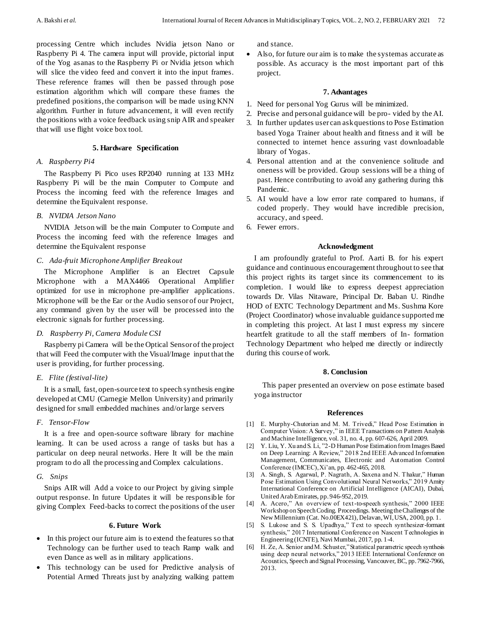processing Centre which includes Nvidia jetson Nano or Raspberry Pi 4. The camera input will provide, pictorial input of the Yog asanas to the Raspberry Pi or Nvidia jetson which will slice the video feed and convert it into the input frames. These reference frames will then be passed through pose estimation algorithm which will compare these frames the predefined positions, the comparison will be made using KNN algorithm. Further in future advancement, it will even rectify the positions with a voice feedback using snip AIR and speaker that will use flight voice box tool.

## **5. Hardware Specification**

# *A. Raspberry Pi4*

The Raspberry Pi Pico uses RP2040 running at 133 MHz Raspberry Pi will be the main Computer to Compute and Process the incoming feed with the reference Images and determine the Equivalent response.

# *B. NVIDIA Jetson Nano*

NVIDIA Jetson will be the main Computer to Compute and Process the incoming feed with the reference Images and determine the Equivalent response

## *C. Ada-fruit Microphone Amplifier Breakout*

The Microphone Amplifier is an Electret Capsule Microphone with a MAX4466 Operational Amplifier optimized for use in microphone pre-amplifier applications. Microphone will be the Ear or the Audio sensor of our Project, any command given by the user will be processed into the electronic signals for further processing.

# *D. Raspberry Pi, Camera Module CSI*

Raspberry pi Camera will be the Optical Sensor of the project that will Feed the computer with the Visual/Image input that the user is providing, for further processing.

#### *E. Flite (festival-lite)*

It is a small, fast, open-source text to speech synthesis engine developed at CMU (Carnegie Mellon University) and primarily designed for small embedded machines and/or large servers

# *F. Tensor-Flow*

It is a free and open-source software library for machine learning. It can be used across a range of tasks but has a particular on deep neural networks. Here It will be the main program to do all the processing and Complex calculations.

# *G. Snips*

Snips AIR will Add a voice to our Project by giving simple output response. In future Updates it will be responsible for giving Complex Feed-backs to correct the positions of the user

#### **6. Future Work**

- In this project our future aim is to extend the features so that Technology can be further used to teach Ramp walk and even Dance as well as in military applications.
- This technology can be used for Predictive analysis of Potential Armed Threats just by analyzing walking pattem

and stance.

• Also, for future our aim is to make the system as accurate as possible. As accuracy is the most important part of this project.

## **7. Advantages**

- 1. Need for personal Yog Gurus will be minimized.
- 2. Precise and personal guidance will be pro- vided by the AI.
- 3. In further updates user can ask questions to Pose Estimation based Yoga Trainer about health and fitness and it will be connected to internet hence assuring vast downloadable library of Yogas.
- 4. Personal attention and at the convenience solitude and oneness will be provided. Group sessions will be a thing of past. Hence contributing to avoid any gathering during this Pandemic.
- 5. AI would have a low error rate compared to humans, if coded properly. They would have incredible precision, accuracy, and speed.
- 6. Fewer errors.

# **Acknowledgment**

I am profoundly grateful to Prof. Aarti B. for his expert guidance and continuous encouragement throughout to see that this project rights its target since its commencement to its completion. I would like to express deepest appreciation towards Dr. Vilas Nitaware, Principal Dr. Baban U. Rindhe HOD of EXTC Technology Department and Ms. Sushma Kore (Project Coordinator) whose invaluable guidance supported me in completing this project. At last I must express my sincere heartfelt gratitude to all the staff members of In- formation Technology Department who helped me directly or indirectly during this course of work.

#### **8. Conclusion**

This paper presented an overview on pose estimate based yoga instructor

#### **References**

- [1] E. Murphy-Chutorian and M. M. Trivedi," Head Pose Estimation in Computer Vision: A Survey," in IEEE Transactions on Pattern Analysis and Machine Intelligence, vol. 31, no. 4, pp. 607-626, April 2009.
- [2] Y. Liu, Y. Xu and S. Li, "2-D Human Pose Estimation from Images Based on Deep Learning: A Review," 2018 2nd IEEE Advanced Information Management, Communicates, Electronic and Automation Control Conference (IMCEC), Xi'an, pp. 462-465, 2018.
- [3] A. Singh, S. Agarwal, P. Nagrath, A. Saxena and N. Thakur," Human Pose Estimation Using Convolutional Neural Networks," 2019 Amity International Conference on Artificial Intelligence (AICAI), Dubai, United Arab Emirates, pp. 946-952, 2019.
- [4] A. Acero," An overview of text-to-speech synthesis," 2000 IEEE Workshop on Speech Coding. Proceedings. Meeting the Challenges of the New Millennium (Cat. No.00EX421), Delavan, WI, USA, 2000, pp. 1.
- [5] S. Lukose and S. S. Upadhya," Text to speech synthesizer-formant synthesis," 2017 International Conference on Nascent Technologies in Engineering (ICNTE), Navi Mumbai, 2017, pp. 1-4.
- [6] H. Ze, A. Senior and M. Schuster," Statistical parametric speech synthesis using deep neural networks," 2013 IEEE International Conference on Acoustics, Speech and Signal Processing, Vancouver, BC, pp. 7962-7966, 2013.